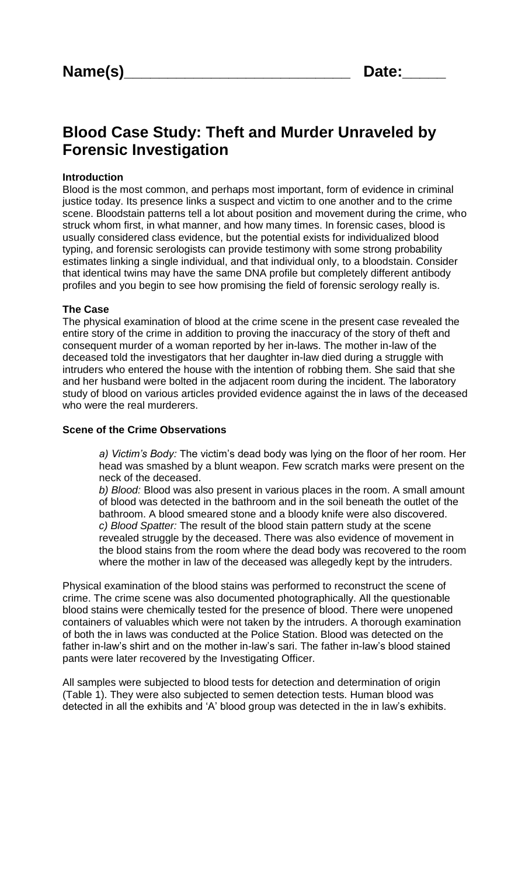# **Blood Case Study: Theft and Murder Unraveled by Forensic Investigation**

### **Introduction**

Blood is the most common, and perhaps most important, form of evidence in criminal justice today. Its presence links a suspect and victim to one another and to the crime scene. Bloodstain patterns tell a lot about position and movement during the crime, who struck whom first, in what manner, and how many times. In forensic cases, blood is usually considered class evidence, but the potential exists for individualized blood typing, and forensic serologists can provide testimony with some strong probability estimates linking a single individual, and that individual only, to a bloodstain. Consider that identical twins may have the same DNA profile but completely different antibody profiles and you begin to see how promising the field of forensic serology really is.

#### **The Case**

The physical examination of blood at the crime scene in the present case revealed the entire story of the crime in addition to proving the inaccuracy of the story of theft and consequent murder of a woman reported by her in-laws. The mother in-law of the deceased told the investigators that her daughter in-law died during a struggle with intruders who entered the house with the intention of robbing them. She said that she and her husband were bolted in the adjacent room during the incident. The laboratory study of blood on various articles provided evidence against the in laws of the deceased who were the real murderers.

#### **Scene of the Crime Observations**

*a) Victim's Body:* The victim's dead body was lying on the floor of her room. Her head was smashed by a blunt weapon. Few scratch marks were present on the neck of the deceased.

*b) Blood:* Blood was also present in various places in the room. A small amount of blood was detected in the bathroom and in the soil beneath the outlet of the bathroom. A blood smeared stone and a bloody knife were also discovered. *c) Blood Spatter:* The result of the blood stain pattern study at the scene revealed struggle by the deceased. There was also evidence of movement in the blood stains from the room where the dead body was recovered to the room where the mother in law of the deceased was allegedly kept by the intruders.

Physical examination of the blood stains was performed to reconstruct the scene of crime. The crime scene was also documented photographically. All the questionable blood stains were chemically tested for the presence of blood. There were unopened containers of valuables which were not taken by the intruders. A thorough examination of both the in laws was conducted at the Police Station. Blood was detected on the father in-law's shirt and on the mother in-law's sari. The father in-law's blood stained pants were later recovered by the Investigating Officer.

All samples were subjected to blood tests for detection and determination of origin (Table 1). They were also subjected to semen detection tests. Human blood was detected in all the exhibits and 'A' blood group was detected in the in law's exhibits.